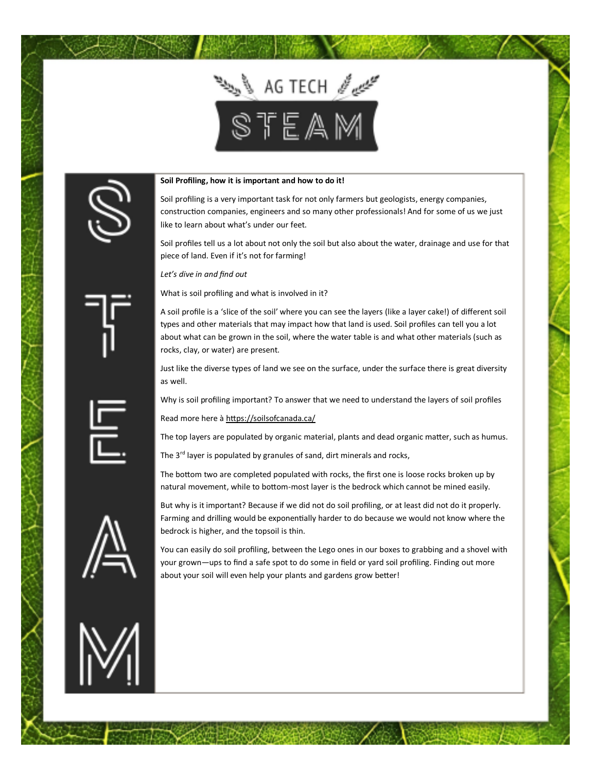



## **Soil Profiling, how it is important and how to do it!**

Soil profiling is a very important task for not only farmers but geologists, energy companies, construction companies, engineers and so many other professionals! And for some of us we just like to learn about what's under our feet.

Soil profiles tell us a lot about not only the soil but also about the water, drainage and use for that piece of land. Even if it's not for farming!

*Let's dive in and find out*

What is soil profiling and what is involved in it?

A soil profile is a 'slice of the soil' where you can see the layers (like a layer cake!) of different soil types and other materials that may impact how that land is used. Soil profiles can tell you a lot about what can be grown in the soil, where the water table is and what other materials (such as rocks, clay, or water) are present.

Just like the diverse types of land we see on the surface, under the surface there is great diversity as well.

Why is soil profiling important? To answer that we need to understand the layers of soil profiles

Read more here à <https://soilsofcanada.ca/>

The top layers are populated by organic material, plants and dead organic matter, such as humus.

The 3<sup>rd</sup> layer is populated by granules of sand, dirt minerals and rocks,

The bottom two are completed populated with rocks, the first one is loose rocks broken up by natural movement, while to bottom-most layer is the bedrock which cannot be mined easily.



But why is it important? Because if we did not do soil profiling, or at least did not do it properly. Farming and drilling would be exponentially harder to do because we would not know where the

You can easily do soil profiling, between the Lego ones in our boxes to grabbing and a shovel with your grown—ups to find a safe spot to do some in field or yard soil profiling. Finding out more about your soil will even help your plants and gardens grow better!



bedrock is higher, and the topsoil is thin.